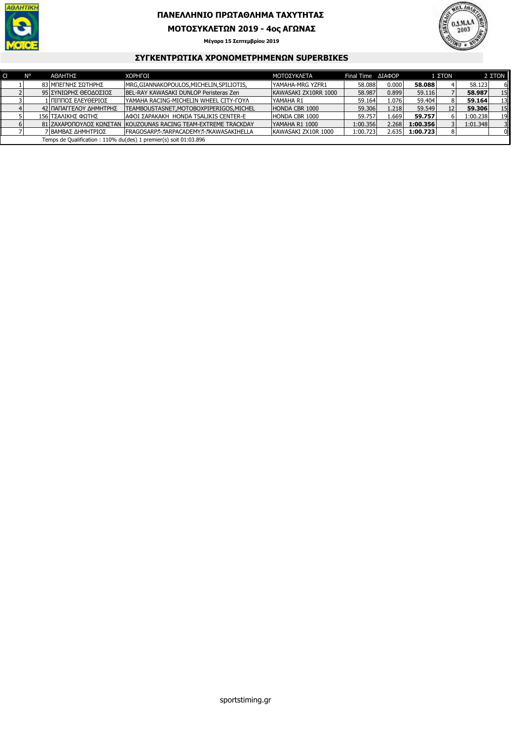

# **ΠΑΝΕΛΛΗΝΙΟ ΠΡΩΤΑΘΛΗΜΑ ΤΑΧΥΤΗΤΑΣ**

#### **ΜΟΤΟΣΥΚΛΕΤΩΝ 2019 - 4ος ΑΓΩΝΑΣ**

**Μέγαρα 15 Σεπτεµβρίου 2019**



#### **ΣΥΓΚΕΝΤΡΩΤΙΚΑ ΧΡΟΝΟΜΕΤΡΗΜΕΝΩΝ SUPERBIKES**

|                                                                  | N° |  | ΑΘΛΗΤΗΣ                | <b>XOPHFOI</b>                                                  | ΜΟΤΟΣΥΚΛΕΤΑ          | Final Time <b>AIAPOP</b> |       | 1 ΣTON   |    | 2 <b>ΣTON</b> |                  |
|------------------------------------------------------------------|----|--|------------------------|-----------------------------------------------------------------|----------------------|--------------------------|-------|----------|----|---------------|------------------|
|                                                                  |    |  | 83 ΜΠΕΓΝΗΣ ΣΩΤΗΡΗΣ     | MRG, GIANNAKOPOULOS, MICHELIN, SPILIOTIS,                       | YAMAHA-MRG YZFR1     | 58,088                   | 0.000 | 58.088   |    | 58.123        | 6 I              |
|                                                                  |    |  | 95 ΣΥΝΙΩΡΗΣ ΘΕΟΔΟΣΙΟΣ  | BEL-RAY KAWASAKI DUNLOP Peristeras Zen                          | KAWASAKI ZX10RR 1000 | 58,987                   | 0.899 | 59.116   |    | 58.987        | 15 <sub>1</sub>  |
|                                                                  |    |  | 1 ΠΙΠΠΟΣ ΕΛΕΥΘΕΡΙΟΣ    | IYAMAHA RACING-MICHELIN WHEEL CITY-FOYA                         | YAMAHA R1            | 59.164                   | 1.076 | 59.404   |    | 59.164        | 13 <sup>  </sup> |
|                                                                  |    |  | 42 ΠΑΠΑΓΓΕΛΟΥ ΔΗΜΗΤΡΗΣ | TEAMBOUSTASNET.MOTOBOXPIPERIGOS.MICHEL                          | HONDA CBR 1000       | 59.306                   | 1.218 | 59.549   | 12 | 59.306        | 15 <sub>1</sub>  |
|                                                                  |    |  | 156 ΤΣΑΛΙΚΗΣ ΦΩΤΗΣ     | ΙΑΦΟΙ ΣΑΡΑΚΑΚΗ HONDA TSALIKIS CENTER-E                          | HONDA CBR 1000       | 59.757                   | 1.669 | 59.757   |    | 1:00.238      | 19 <sub>1</sub>  |
|                                                                  |    |  |                        | 81 ZAXAPOΠΟΥΛΟΣ ΚΩΝΣΤΑΝ ΙΚΟUΖOUNAS RACING TEAM-EXTREME TRACKDAY | YAMAHA R1 1000       | 1:00.356                 | 2.268 | 1:00.356 |    | 1:01.348      | 3 <sup>1</sup>   |
|                                                                  |    |  | 7 ΒΑΜΒΑΣ ΔΗΜΗΤΡΙΟΣ     | FRAGOSARPA-AARPACADEMYA-AKAWASAKIHELLA                          | KAWASAKI ZX10R 1000  | 1:00.723                 | 2.635 | 1:00.723 |    |               | 0 <sup>1</sup>   |
| Temps de Qualification: 110% du(des) 1 premier(s) soit 01:03.896 |    |  |                        |                                                                 |                      |                          |       |          |    |               |                  |